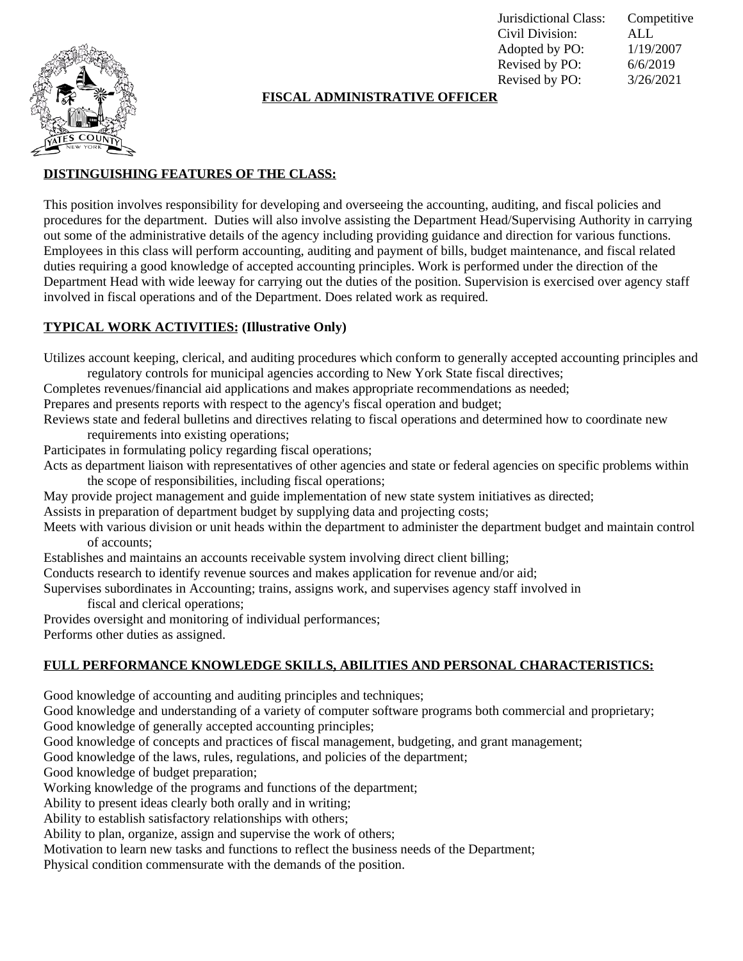

Jurisdictional Class: Competitive Civil Division: ALL Adopted by PO: 1/19/2007 Revised by PO: 6/6/2019 Revised by PO: 3/26/2021

## **FISCAL ADMINISTRATIVE OFFICER**

# **DISTINGUISHING FEATURES OF THE CLASS:**

This position involves responsibility for developing and overseeing the accounting, auditing, and fiscal policies and procedures for the department. Duties will also involve assisting the Department Head/Supervising Authority in carrying out some of the administrative details of the agency including providing guidance and direction for various functions. Employees in this class will perform accounting, auditing and payment of bills, budget maintenance, and fiscal related duties requiring a good knowledge of accepted accounting principles. Work is performed under the direction of the Department Head with wide leeway for carrying out the duties of the position. Supervision is exercised over agency staff involved in fiscal operations and of the Department. Does related work as required.

### **TYPICAL WORK ACTIVITIES: (Illustrative Only)**

Utilizes account keeping, clerical, and auditing procedures which conform to generally accepted accounting principles and regulatory controls for municipal agencies according to New York State fiscal directives;

Completes revenues/financial aid applications and makes appropriate recommendations as needed;

Prepares and presents reports with respect to the agency's fiscal operation and budget;

Reviews state and federal bulletins and directives relating to fiscal operations and determined how to coordinate new requirements into existing operations;

Participates in formulating policy regarding fiscal operations;

Acts as department liaison with representatives of other agencies and state or federal agencies on specific problems within the scope of responsibilities, including fiscal operations;

May provide project management and guide implementation of new state system initiatives as directed;

Assists in preparation of department budget by supplying data and projecting costs;

Meets with various division or unit heads within the department to administer the department budget and maintain control of accounts;

Establishes and maintains an accounts receivable system involving direct client billing;

Conducts research to identify revenue sources and makes application for revenue and/or aid;

Supervises subordinates in Accounting; trains, assigns work, and supervises agency staff involved in

fiscal and clerical operations;

Provides oversight and monitoring of individual performances;

Performs other duties as assigned.

## **FULL PERFORMANCE KNOWLEDGE SKILLS, ABILITIES AND PERSONAL CHARACTERISTICS:**

Good knowledge of accounting and auditing principles and techniques;

Good knowledge and understanding of a variety of computer software programs both commercial and proprietary; Good knowledge of generally accepted accounting principles;

Good knowledge of concepts and practices of fiscal management, budgeting, and grant management;

Good knowledge of the laws, rules, regulations, and policies of the department;

Good knowledge of budget preparation;

Working knowledge of the programs and functions of the department;

Ability to present ideas clearly both orally and in writing;

Ability to establish satisfactory relationships with others;

Ability to plan, organize, assign and supervise the work of others;

Motivation to learn new tasks and functions to reflect the business needs of the Department;

Physical condition commensurate with the demands of the position.